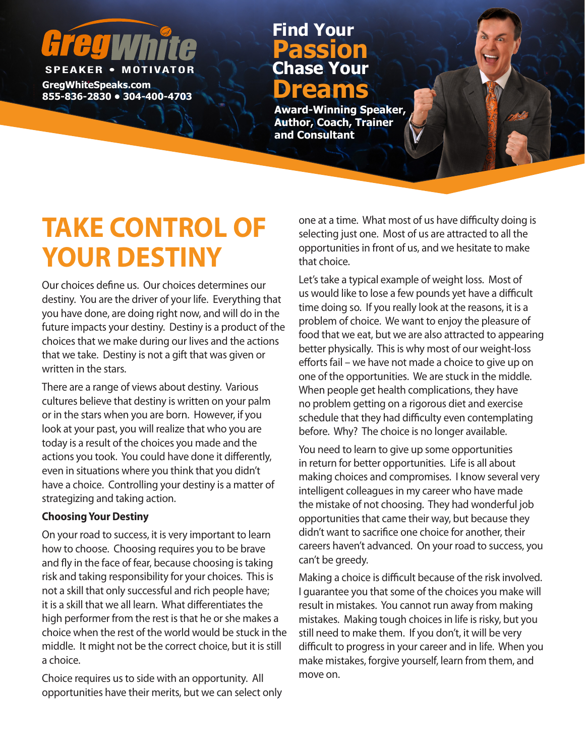# **SPEAKER • MOTIV**

**GregWhiteSpeaks.com BIFER 1855-836-2830 • 304-400-4703** 

### **Chase Your Passion Find Your**

**Award-Winning Speaker, Author, Coach, Trainer and Consultant**

## **TAKE CONTROL OF YOUR DESTINY**

Our choices define us. Our choices determines our destiny. You are the driver of your life. Everything that you have done, are doing right now, and will do in the future impacts your destiny. Destiny is a product of the choices that we make during our lives and the actions that we take. Destiny is not a gift that was given or written in the stars.

There are a range of views about destiny. Various cultures believe that destiny is written on your palm or in the stars when you are born. However, if you look at your past, you will realize that who you are today is a result of the choices you made and the actions you took. You could have done it differently, even in situations where you think that you didn't have a choice. Controlling your destiny is a matter of strategizing and taking action.

#### **Choosing Your Destiny**

On your road to success, it is very important to learn how to choose. Choosing requires you to be brave and fly in the face of fear, because choosing is taking risk and taking responsibility for your choices. This is not a skill that only successful and rich people have; it is a skill that we all learn. What differentiates the high performer from the rest is that he or she makes a choice when the rest of the world would be stuck in the middle. It might not be the correct choice, but it is still a choice.

Choice requires us to side with an opportunity. All opportunities have their merits, but we can select only one at a time. What most of us have difficulty doing is selecting just one. Most of us are attracted to all the opportunities in front of us, and we hesitate to make that choice.

Let's take a typical example of weight loss. Most of us would like to lose a few pounds yet have a difficult time doing so. If you really look at the reasons, it is a problem of choice. We want to enjoy the pleasure of food that we eat, but we are also attracted to appearing better physically. This is why most of our weight-loss efforts fail – we have not made a choice to give up on one of the opportunities. We are stuck in the middle. When people get health complications, they have no problem getting on a rigorous diet and exercise schedule that they had difficulty even contemplating before. Why? The choice is no longer available.

You need to learn to give up some opportunities in return for better opportunities. Life is all about making choices and compromises. I know several very intelligent colleagues in my career who have made the mistake of not choosing. They had wonderful job opportunities that came their way, but because they didn't want to sacrifice one choice for another, their careers haven't advanced. On your road to success, you can't be greedy.

Making a choice is difficult because of the risk involved. I guarantee you that some of the choices you make will result in mistakes. You cannot run away from making mistakes. Making tough choices in life is risky, but you still need to make them. If you don't, it will be very difficult to progress in your career and in life. When you make mistakes, forgive yourself, learn from them, and move on.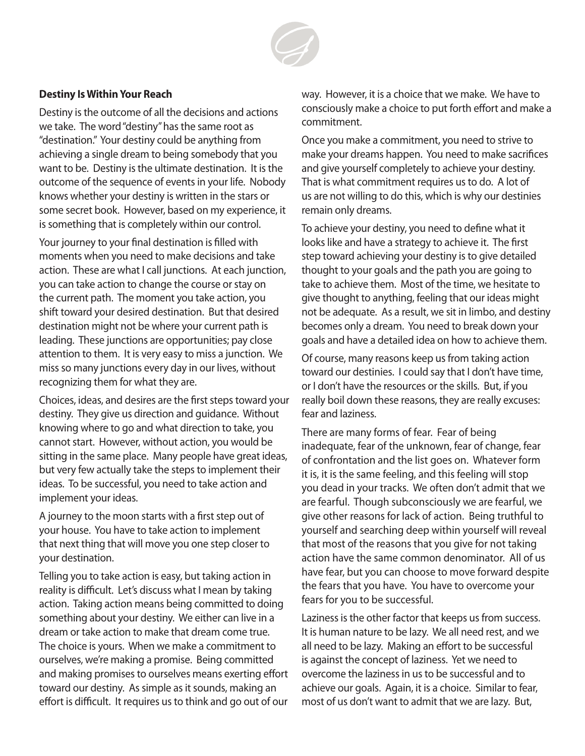

#### **Destiny Is Within Your Reach**

Destiny is the outcome of all the decisions and actions we take. The word "destiny" has the same root as "destination." Your destiny could be anything from achieving a single dream to being somebody that you want to be. Destiny is the ultimate destination. It is the outcome of the sequence of events in your life. Nobody knows whether your destiny is written in the stars or some secret book. However, based on my experience, it is something that is completely within our control.

Your journey to your final destination is filled with moments when you need to make decisions and take action. These are what I call junctions. At each junction, you can take action to change the course or stay on the current path. The moment you take action, you shift toward your desired destination. But that desired destination might not be where your current path is leading. These junctions are opportunities; pay close attention to them. It is very easy to miss a junction. We miss so many junctions every day in our lives, without recognizing them for what they are.

Choices, ideas, and desires are the first steps toward your destiny. They give us direction and guidance. Without knowing where to go and what direction to take, you cannot start. However, without action, you would be sitting in the same place. Many people have great ideas, but very few actually take the steps to implement their ideas. To be successful, you need to take action and implement your ideas.

A journey to the moon starts with a first step out of your house. You have to take action to implement that next thing that will move you one step closer to your destination.

Telling you to take action is easy, but taking action in reality is difficult. Let's discuss what I mean by taking action. Taking action means being committed to doing something about your destiny. We either can live in a dream or take action to make that dream come true. The choice is yours. When we make a commitment to ourselves, we're making a promise. Being committed and making promises to ourselves means exerting effort toward our destiny. As simple as it sounds, making an effort is difficult. It requires us to think and go out of our

way. However, it is a choice that we make. We have to consciously make a choice to put forth effort and make a commitment.

Once you make a commitment, you need to strive to make your dreams happen. You need to make sacrifices and give yourself completely to achieve your destiny. That is what commitment requires us to do. A lot of us are not willing to do this, which is why our destinies remain only dreams.

To achieve your destiny, you need to define what it looks like and have a strategy to achieve it. The first step toward achieving your destiny is to give detailed thought to your goals and the path you are going to take to achieve them. Most of the time, we hesitate to give thought to anything, feeling that our ideas might not be adequate. As a result, we sit in limbo, and destiny becomes only a dream. You need to break down your goals and have a detailed idea on how to achieve them.

Of course, many reasons keep us from taking action toward our destinies. I could say that I don't have time, or I don't have the resources or the skills. But, if you really boil down these reasons, they are really excuses: fear and laziness.

There are many forms of fear. Fear of being inadequate, fear of the unknown, fear of change, fear of confrontation and the list goes on. Whatever form it is, it is the same feeling, and this feeling will stop you dead in your tracks. We often don't admit that we are fearful. Though subconsciously we are fearful, we give other reasons for lack of action. Being truthful to yourself and searching deep within yourself will reveal that most of the reasons that you give for not taking action have the same common denominator. All of us have fear, but you can choose to move forward despite the fears that you have. You have to overcome your fears for you to be successful.

Laziness is the other factor that keeps us from success. It is human nature to be lazy. We all need rest, and we all need to be lazy. Making an effort to be successful is against the concept of laziness. Yet we need to overcome the laziness in us to be successful and to achieve our goals. Again, it is a choice. Similar to fear, most of us don't want to admit that we are lazy. But,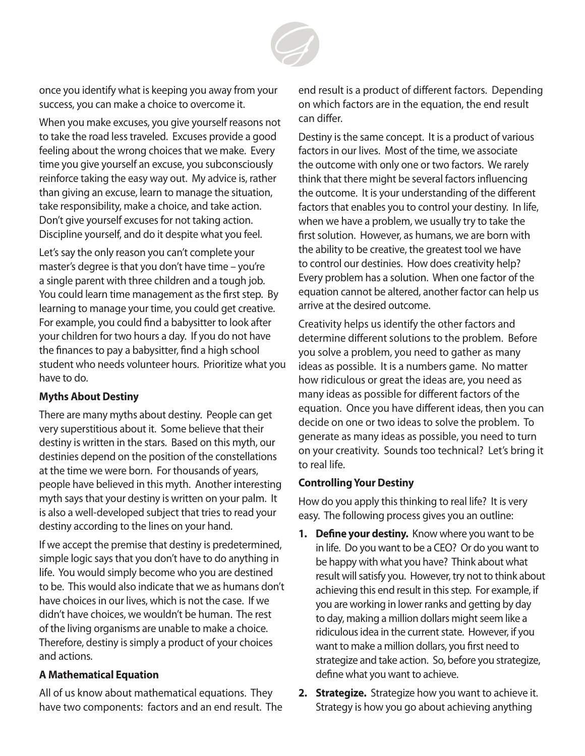

once you identify what is keeping you away from your success, you can make a choice to overcome it.

When you make excuses, you give yourself reasons not to take the road less traveled. Excuses provide a good feeling about the wrong choices that we make. Every time you give yourself an excuse, you subconsciously reinforce taking the easy way out. My advice is, rather than giving an excuse, learn to manage the situation, take responsibility, make a choice, and take action. Don't give yourself excuses for not taking action. Discipline yourself, and do it despite what you feel.

Let's say the only reason you can't complete your master's degree is that you don't have time – you're a single parent with three children and a tough job. You could learn time management as the first step. By learning to manage your time, you could get creative. For example, you could find a babysitter to look after your children for two hours a day. If you do not have the finances to pay a babysitter, find a high school student who needs volunteer hours. Prioritize what you have to do.

#### **Myths About Destiny**

There are many myths about destiny. People can get very superstitious about it. Some believe that their destiny is written in the stars. Based on this myth, our destinies depend on the position of the constellations at the time we were born. For thousands of years, people have believed in this myth. Another interesting myth says that your destiny is written on your palm. It is also a well-developed subject that tries to read your destiny according to the lines on your hand.

If we accept the premise that destiny is predetermined, simple logic says that you don't have to do anything in life. You would simply become who you are destined to be. This would also indicate that we as humans don't have choices in our lives, which is not the case. If we didn't have choices, we wouldn't be human. The rest of the living organisms are unable to make a choice. Therefore, destiny is simply a product of your choices and actions.

#### **A Mathematical Equation**

All of us know about mathematical equations. They have two components: factors and an end result. The end result is a product of different factors. Depending on which factors are in the equation, the end result can differ.

Destiny is the same concept. It is a product of various factors in our lives. Most of the time, we associate the outcome with only one or two factors. We rarely think that there might be several factors influencing the outcome. It is your understanding of the different factors that enables you to control your destiny. In life, when we have a problem, we usually try to take the first solution. However, as humans, we are born with the ability to be creative, the greatest tool we have to control our destinies. How does creativity help? Every problem has a solution. When one factor of the equation cannot be altered, another factor can help us arrive at the desired outcome.

Creativity helps us identify the other factors and determine different solutions to the problem. Before you solve a problem, you need to gather as many ideas as possible. It is a numbers game. No matter how ridiculous or great the ideas are, you need as many ideas as possible for different factors of the equation. Once you have different ideas, then you can decide on one or two ideas to solve the problem. To generate as many ideas as possible, you need to turn on your creativity. Sounds too technical? Let's bring it to real life.

#### **Controlling Your Destiny**

How do you apply this thinking to real life? It is very easy. The following process gives you an outline:

- **1. Define your destiny.** Know where you want to be in life. Do you want to be a CEO? Or do you want to be happy with what you have? Think about what result will satisfy you. However, try not to think about achieving this end result in this step. For example, if you are working in lower ranks and getting by day to day, making a million dollars might seem like a ridiculous idea in the current state. However, if you want to make a million dollars, you first need to strategize and take action. So, before you strategize, define what you want to achieve.
- **2. Strategize.** Strategize how you want to achieve it. Strategy is how you go about achieving anything